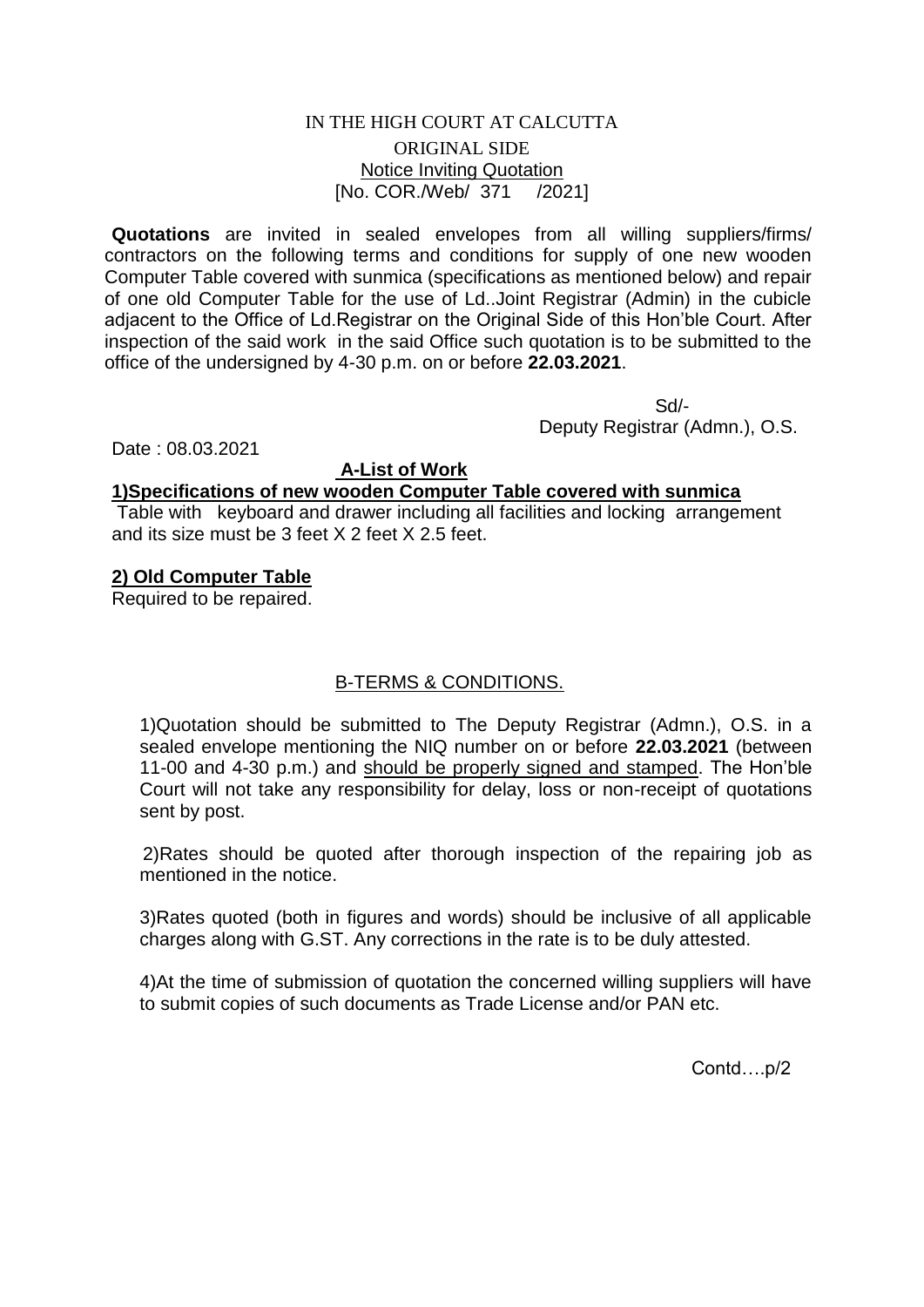## IN THE HIGH COURT AT CALCUTTA ORIGINAL SIDE Notice Inviting Quotation [No. COR./Web/ 371 /2021]

**Quotations** are invited in sealed envelopes from all willing suppliers/firms/ contractors on the following terms and conditions for supply of one new wooden Computer Table covered with sunmica (specifications as mentioned below) and repair of one old Computer Table for the use of Ld..Joint Registrar (Admin) in the cubicle adjacent to the Office of Ld.Registrar on the Original Side of this Hon'ble Court. After inspection of the said work in the said Office such quotation is to be submitted to the office of the undersigned by 4-30 p.m. on or before **22.03.2021**.

 Sd/- Deputy Registrar (Admn.), O.S.

Date : 08.03.2021

## **A-List of Work**

#### **1)Specifications of new wooden Computer Table covered with sunmica**

Table with keyboard and drawer including all facilities and locking arrangement and its size must be 3 feet X 2 feet X 2.5 feet.

## **2) Old Computer Table**

Required to be repaired.

# B-TERMS & CONDITIONS.

1)Quotation should be submitted to The Deputy Registrar (Admn.), O.S. in a sealed envelope mentioning the NIQ number on or before **22.03.2021** (between 11-00 and 4-30 p.m.) and should be properly signed and stamped. The Hon'ble Court will not take any responsibility for delay, loss or non-receipt of quotations sent by post.

 2)Rates should be quoted after thorough inspection of the repairing job as mentioned in the notice.

3)Rates quoted (both in figures and words) should be inclusive of all applicable charges along with G.ST. Any corrections in the rate is to be duly attested.

4)At the time of submission of quotation the concerned willing suppliers will have to submit copies of such documents as Trade License and/or PAN etc.

Contd….p/2